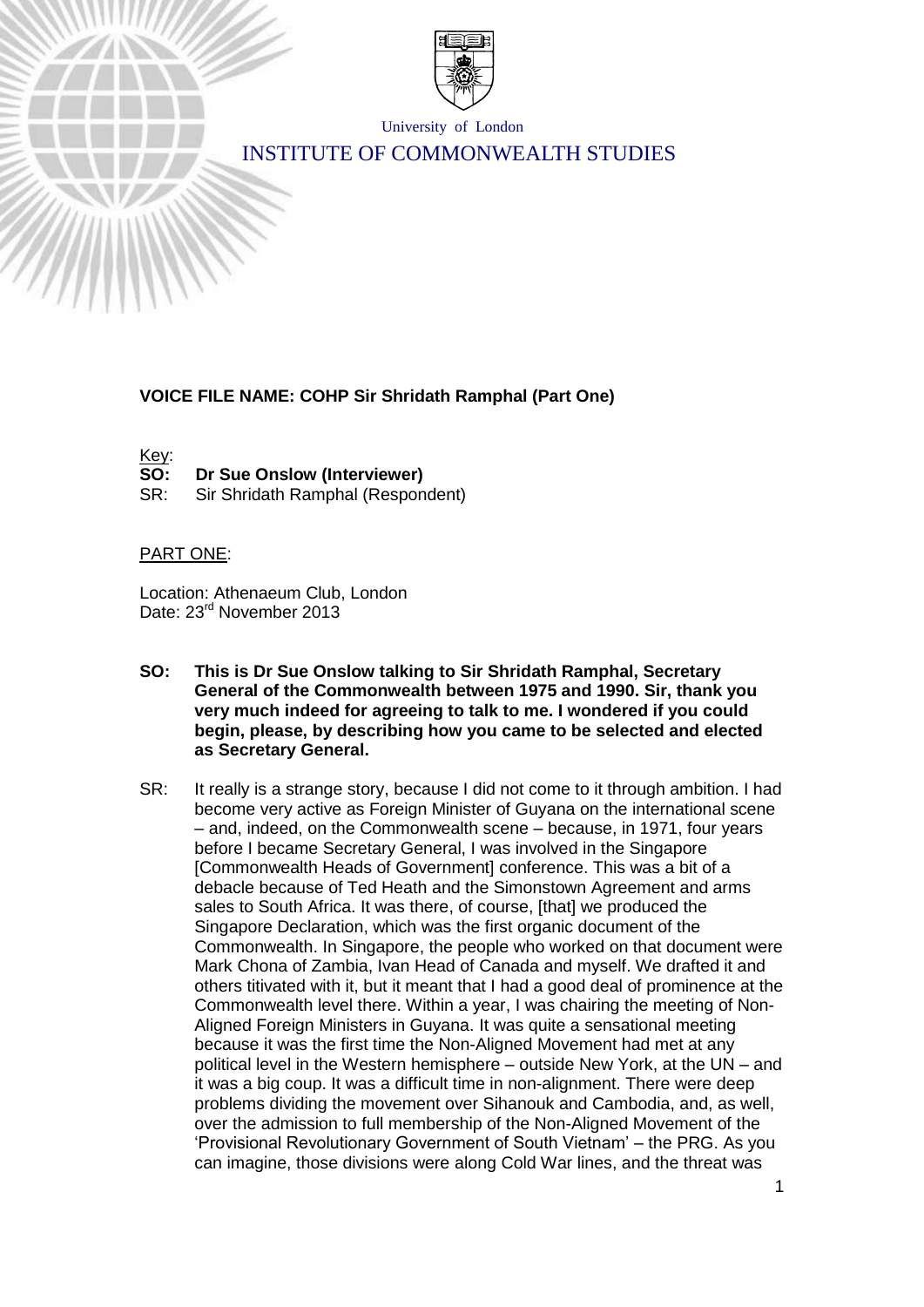

University of London

# INSTITUTE OF COMMONWEALTH STUDIES

## **VOICE FILE NAME: COHP Sir Shridath Ramphal (Part One)**

Key:

**SO: Dr Sue Onslow (Interviewer)**

SR: Sir Shridath Ramphal (Respondent)

#### PART ONE:

Location: Athenaeum Club, London Date: 23<sup>rd</sup> November 2013

- **SO: This is Dr Sue Onslow talking to Sir Shridath Ramphal, Secretary General of the Commonwealth between 1975 and 1990. Sir, thank you very much indeed for agreeing to talk to me. I wondered if you could begin, please, by describing how you came to be selected and elected as Secretary General.**
- SR: It really is a strange story, because I did not come to it through ambition. I had become very active as Foreign Minister of Guyana on the international scene – and, indeed, on the Commonwealth scene – because, in 1971, four years before I became Secretary General, I was involved in the Singapore [Commonwealth Heads of Government] conference. This was a bit of a debacle because of Ted Heath and the Simonstown Agreement and arms sales to South Africa. It was there, of course, [that] we produced the Singapore Declaration, which was the first organic document of the Commonwealth. In Singapore, the people who worked on that document were Mark Chona of Zambia, Ivan Head of Canada and myself. We drafted it and others titivated with it, but it meant that I had a good deal of prominence at the Commonwealth level there. Within a year, I was chairing the meeting of Non-Aligned Foreign Ministers in Guyana. It was quite a sensational meeting because it was the first time the Non-Aligned Movement had met at any political level in the Western hemisphere – outside New York, at the UN – and it was a big coup. It was a difficult time in non-alignment. There were deep problems dividing the movement over Sihanouk and Cambodia, and, as well, over the admission to full membership of the Non-Aligned Movement of the 'Provisional Revolutionary Government of South Vietnam' – the PRG. As you can imagine, those divisions were along Cold War lines, and the threat was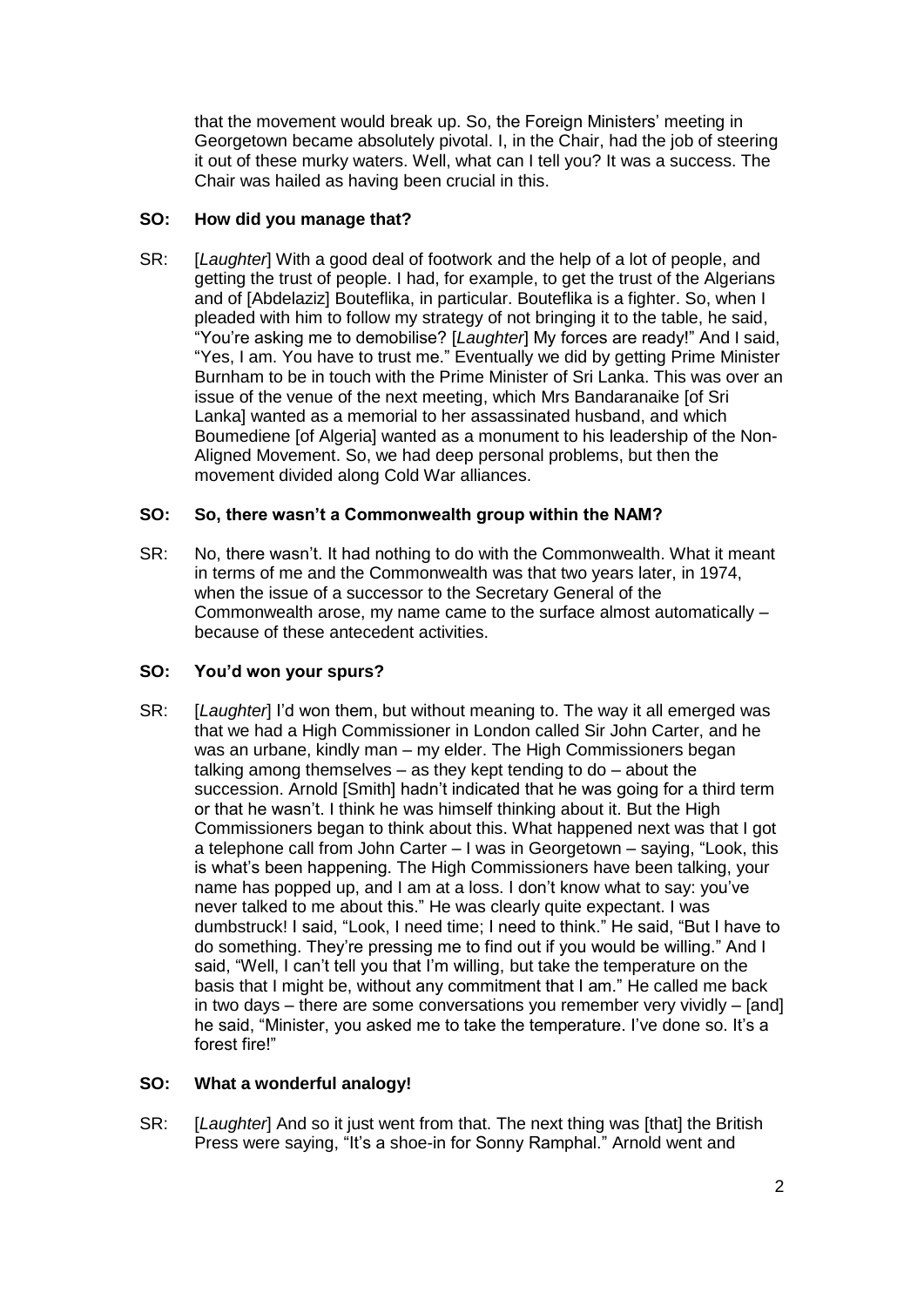that the movement would break up. So, the Foreign Ministers' meeting in Georgetown became absolutely pivotal. I, in the Chair, had the job of steering it out of these murky waters. Well, what can I tell you? It was a success. The Chair was hailed as having been crucial in this.

# **SO: How did you manage that?**

SR: [*Laughter*] With a good deal of footwork and the help of a lot of people, and getting the trust of people. I had, for example, to get the trust of the Algerians and of [Abdelaziz] Bouteflika, in particular. Bouteflika is a fighter. So, when I pleaded with him to follow my strategy of not bringing it to the table, he said, "You're asking me to demobilise? [*Laughter*] My forces are ready!" And I said, "Yes, I am. You have to trust me." Eventually we did by getting Prime Minister Burnham to be in touch with the Prime Minister of Sri Lanka. This was over an issue of the venue of the next meeting, which Mrs Bandaranaike [of Sri Lanka] wanted as a memorial to her assassinated husband, and which Boumediene [of Algeria] wanted as a monument to his leadership of the Non-Aligned Movement. So, we had deep personal problems, but then the movement divided along Cold War alliances.

# **SO: So, there wasn't a Commonwealth group within the NAM?**

SR: No, there wasn't. It had nothing to do with the Commonwealth. What it meant in terms of me and the Commonwealth was that two years later, in 1974, when the issue of a successor to the Secretary General of the Commonwealth arose, my name came to the surface almost automatically – because of these antecedent activities.

# **SO: You'd won your spurs?**

SR: [*Laughter*] I'd won them, but without meaning to. The way it all emerged was that we had a High Commissioner in London called Sir John Carter, and he was an urbane, kindly man – my elder. The High Commissioners began talking among themselves – as they kept tending to do – about the succession. Arnold [Smith] hadn't indicated that he was going for a third term or that he wasn't. I think he was himself thinking about it. But the High Commissioners began to think about this. What happened next was that I got a telephone call from John Carter – I was in Georgetown – saying, "Look, this is what's been happening. The High Commissioners have been talking, your name has popped up, and I am at a loss. I don't know what to say: you've never talked to me about this." He was clearly quite expectant. I was dumbstruck! I said, "Look, I need time; I need to think." He said, "But I have to do something. They're pressing me to find out if you would be willing." And I said, "Well, I can't tell you that I'm willing, but take the temperature on the basis that I might be, without any commitment that I am." He called me back in two days – there are some conversations you remember very vividly – [and] he said, "Minister, you asked me to take the temperature. I've done so. It's a forest fire!"

# **SO: What a wonderful analogy!**

SR: [*Laughter*] And so it just went from that. The next thing was [that] the British Press were saying, "It's a shoe-in for Sonny Ramphal." Arnold went and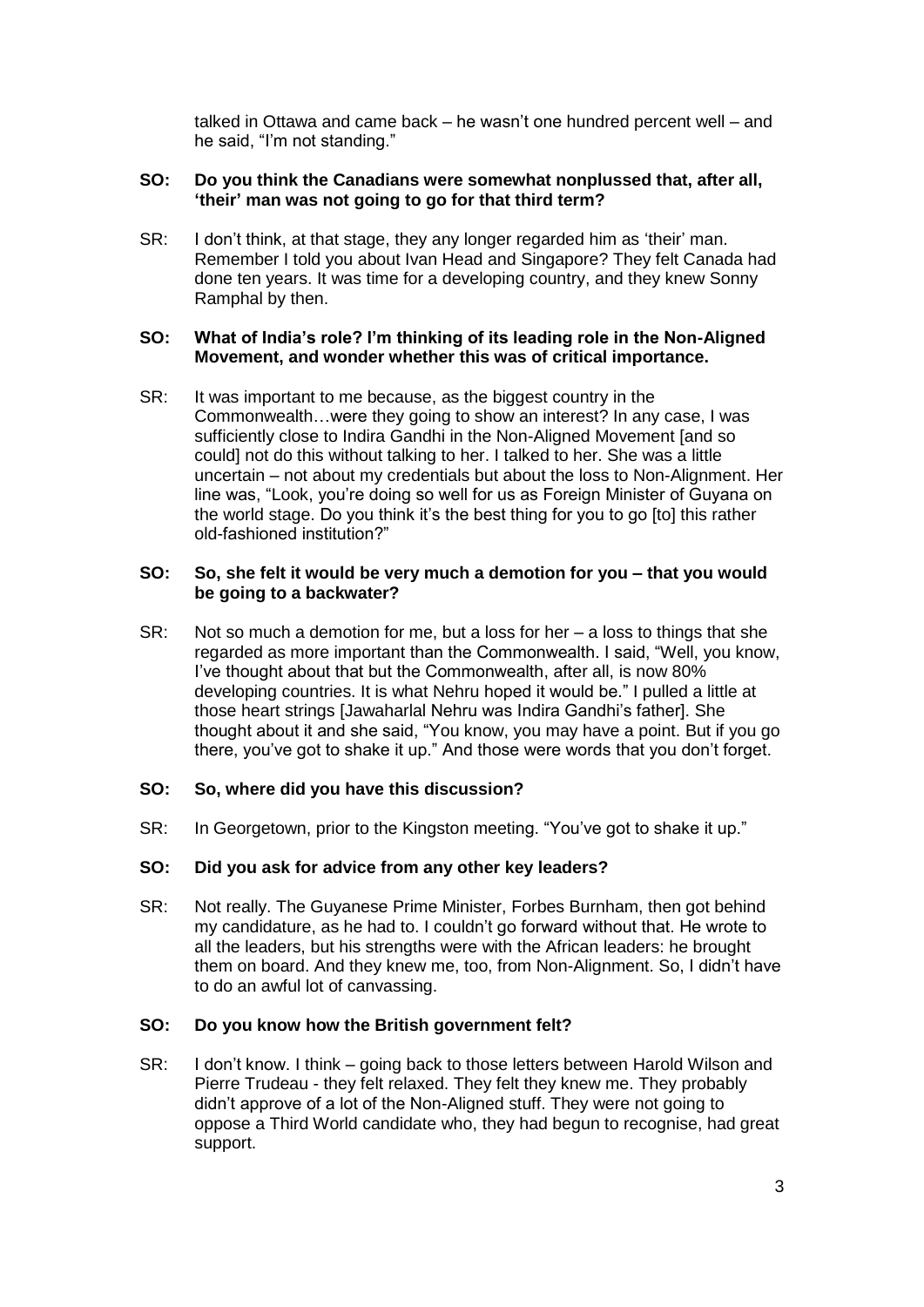talked in Ottawa and came back – he wasn't one hundred percent well – and he said, "I'm not standing."

## **SO: Do you think the Canadians were somewhat nonplussed that, after all, 'their' man was not going to go for that third term?**

SR: I don't think, at that stage, they any longer regarded him as 'their' man. Remember I told you about Ivan Head and Singapore? They felt Canada had done ten years. It was time for a developing country, and they knew Sonny Ramphal by then.

#### **SO: What of India's role? I'm thinking of its leading role in the Non-Aligned Movement, and wonder whether this was of critical importance.**

SR: It was important to me because, as the biggest country in the Commonwealth…were they going to show an interest? In any case, I was sufficiently close to Indira Gandhi in the Non-Aligned Movement [and so could] not do this without talking to her. I talked to her. She was a little uncertain – not about my credentials but about the loss to Non-Alignment. Her line was, "Look, you're doing so well for us as Foreign Minister of Guyana on the world stage. Do you think it's the best thing for you to go [to] this rather old-fashioned institution?"

## **SO: So, she felt it would be very much a demotion for you – that you would be going to a backwater?**

SR: Not so much a demotion for me, but a loss for her – a loss to things that she regarded as more important than the Commonwealth. I said, "Well, you know, I've thought about that but the Commonwealth, after all, is now 80% developing countries. It is what Nehru hoped it would be." I pulled a little at those heart strings [Jawaharlal Nehru was Indira Gandhi's father]. She thought about it and she said, "You know, you may have a point. But if you go there, you've got to shake it up." And those were words that you don't forget.

# **SO: So, where did you have this discussion?**

SR: In Georgetown, prior to the Kingston meeting. "You've got to shake it up."

# **SO: Did you ask for advice from any other key leaders?**

SR: Not really. The Guyanese Prime Minister, Forbes Burnham, then got behind my candidature, as he had to. I couldn't go forward without that. He wrote to all the leaders, but his strengths were with the African leaders: he brought them on board. And they knew me, too, from Non-Alignment. So, I didn't have to do an awful lot of canvassing.

#### **SO: Do you know how the British government felt?**

SR: I don't know. I think – going back to those letters between Harold Wilson and Pierre Trudeau - they felt relaxed. They felt they knew me. They probably didn't approve of a lot of the Non-Aligned stuff. They were not going to oppose a Third World candidate who, they had begun to recognise, had great support.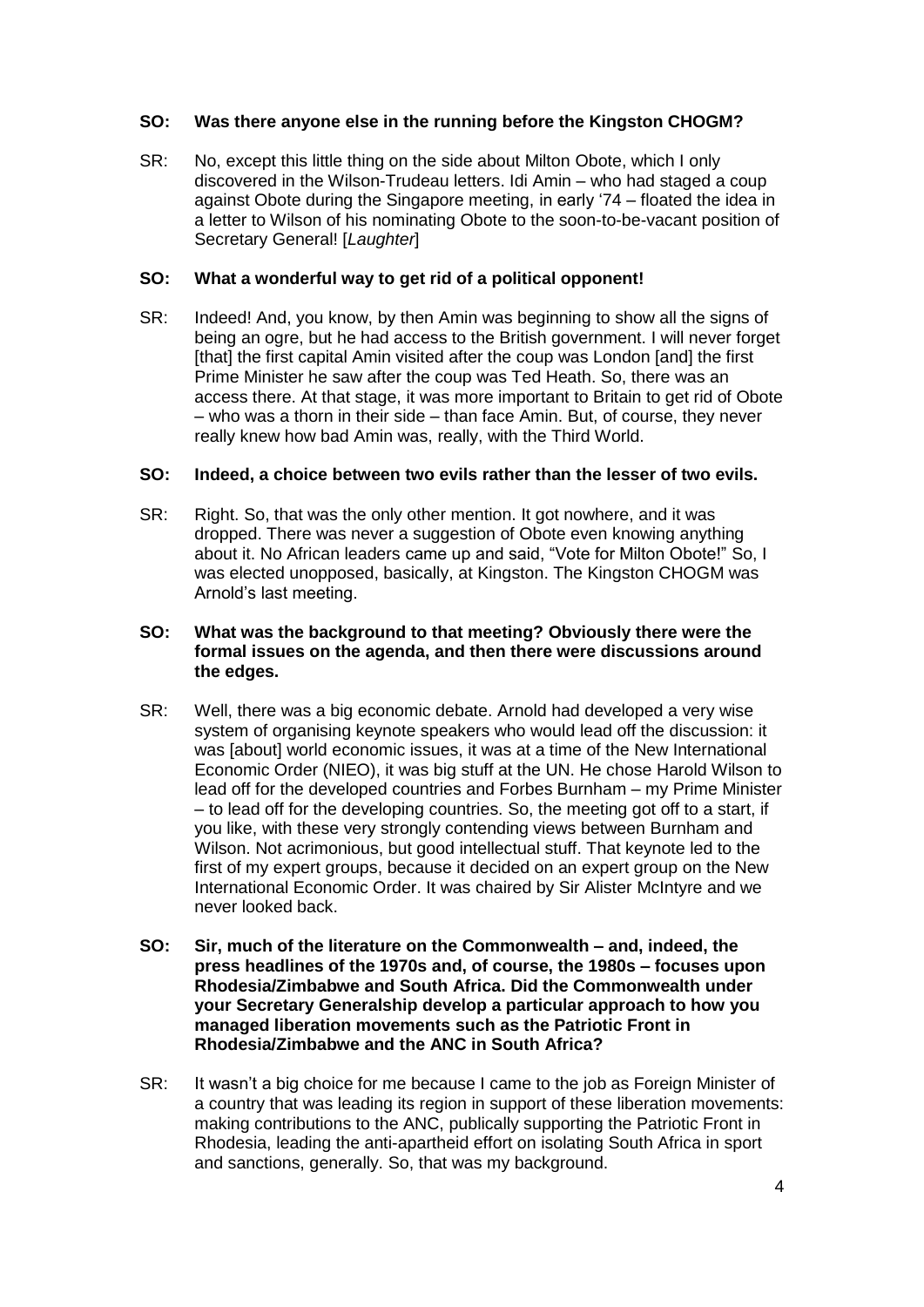# **SO: Was there anyone else in the running before the Kingston CHOGM?**

SR: No, except this little thing on the side about Milton Obote, which I only discovered in the Wilson-Trudeau letters. Idi Amin – who had staged a coup against Obote during the Singapore meeting, in early '74 – floated the idea in a letter to Wilson of his nominating Obote to the soon-to-be-vacant position of Secretary General! [*Laughter*]

# **SO: What a wonderful way to get rid of a political opponent!**

SR: Indeed! And, you know, by then Amin was beginning to show all the signs of being an ogre, but he had access to the British government. I will never forget [that] the first capital Amin visited after the coup was London [and] the first Prime Minister he saw after the coup was Ted Heath. So, there was an access there. At that stage, it was more important to Britain to get rid of Obote – who was a thorn in their side – than face Amin. But, of course, they never really knew how bad Amin was, really, with the Third World.

# **SO: Indeed, a choice between two evils rather than the lesser of two evils.**

SR: Right. So, that was the only other mention. It got nowhere, and it was dropped. There was never a suggestion of Obote even knowing anything about it. No African leaders came up and said, "Vote for Milton Obote!" So, I was elected unopposed, basically, at Kingston. The Kingston CHOGM was Arnold's last meeting.

## **SO: What was the background to that meeting? Obviously there were the formal issues on the agenda, and then there were discussions around the edges.**

- SR: Well, there was a big economic debate. Arnold had developed a very wise system of organising keynote speakers who would lead off the discussion: it was [about] world economic issues, it was at a time of the New International Economic Order (NIEO), it was big stuff at the UN. He chose Harold Wilson to lead off for the developed countries and Forbes Burnham – my Prime Minister – to lead off for the developing countries. So, the meeting got off to a start, if you like, with these very strongly contending views between Burnham and Wilson. Not acrimonious, but good intellectual stuff. That keynote led to the first of my expert groups, because it decided on an expert group on the New International Economic Order. It was chaired by Sir Alister McIntyre and we never looked back.
- **SO: Sir, much of the literature on the Commonwealth – and, indeed, the press headlines of the 1970s and, of course, the 1980s – focuses upon Rhodesia/Zimbabwe and South Africa. Did the Commonwealth under your Secretary Generalship develop a particular approach to how you managed liberation movements such as the Patriotic Front in Rhodesia/Zimbabwe and the ANC in South Africa?**
- SR: It wasn't a big choice for me because I came to the job as Foreign Minister of a country that was leading its region in support of these liberation movements: making contributions to the ANC, publically supporting the Patriotic Front in Rhodesia, leading the anti-apartheid effort on isolating South Africa in sport and sanctions, generally. So, that was my background.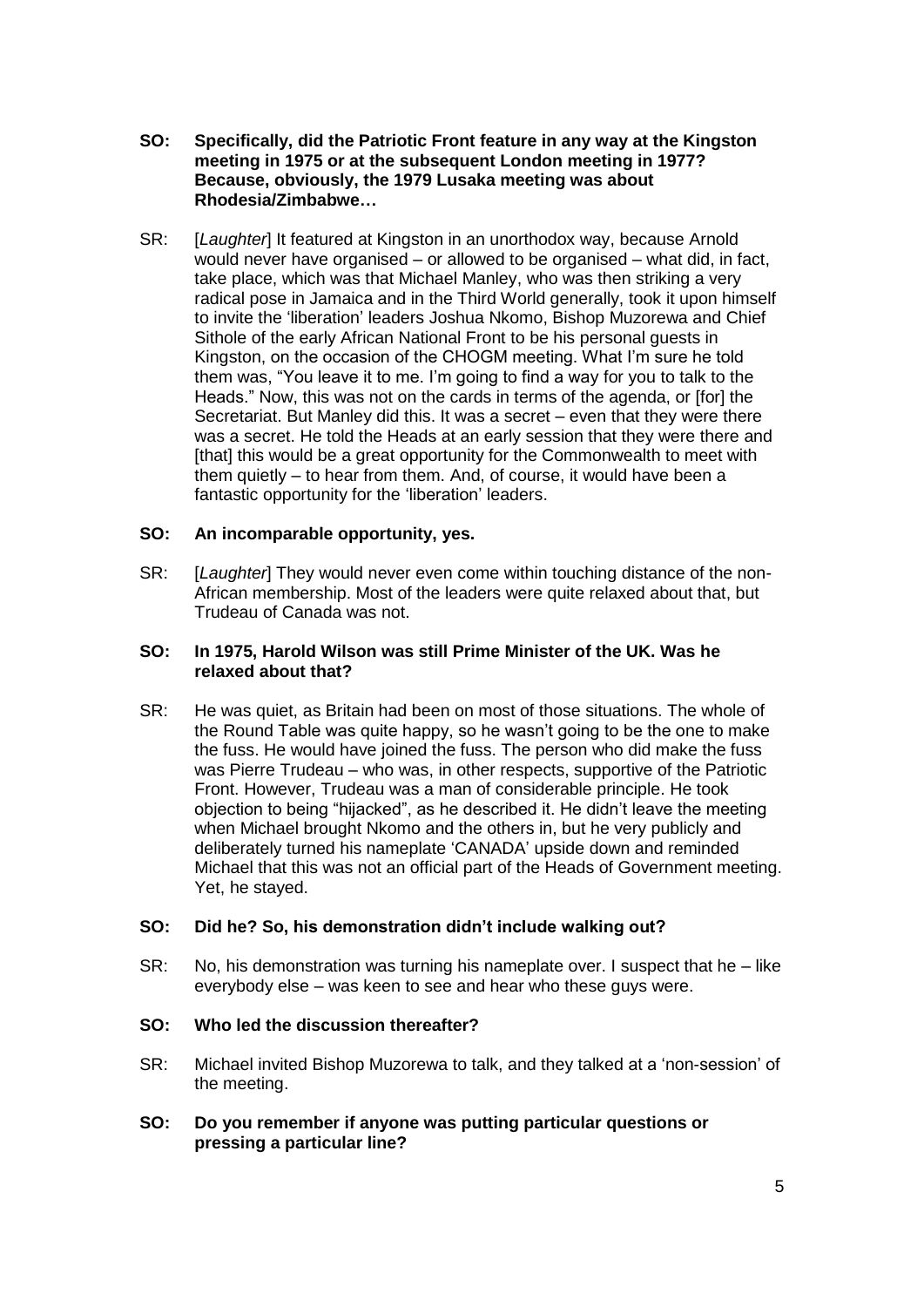- **SO: Specifically, did the Patriotic Front feature in any way at the Kingston meeting in 1975 or at the subsequent London meeting in 1977? Because, obviously, the 1979 Lusaka meeting was about Rhodesia/Zimbabwe…**
- SR: [*Laughter*] It featured at Kingston in an unorthodox way, because Arnold would never have organised – or allowed to be organised – what did, in fact, take place, which was that Michael Manley, who was then striking a very radical pose in Jamaica and in the Third World generally, took it upon himself to invite the 'liberation' leaders Joshua Nkomo, Bishop Muzorewa and Chief Sithole of the early African National Front to be his personal guests in Kingston, on the occasion of the CHOGM meeting. What I'm sure he told them was, "You leave it to me. I'm going to find a way for you to talk to the Heads." Now, this was not on the cards in terms of the agenda, or [for] the Secretariat. But Manley did this. It was a secret – even that they were there was a secret. He told the Heads at an early session that they were there and [that] this would be a great opportunity for the Commonwealth to meet with them quietly – to hear from them. And, of course, it would have been a fantastic opportunity for the 'liberation' leaders.

## **SO: An incomparable opportunity, yes.**

SR: [*Laughter*] They would never even come within touching distance of the non-African membership. Most of the leaders were quite relaxed about that, but Trudeau of Canada was not.

### **SO: In 1975, Harold Wilson was still Prime Minister of the UK. Was he relaxed about that?**

SR: He was quiet, as Britain had been on most of those situations. The whole of the Round Table was quite happy, so he wasn't going to be the one to make the fuss. He would have joined the fuss. The person who did make the fuss was Pierre Trudeau – who was, in other respects, supportive of the Patriotic Front. However, Trudeau was a man of considerable principle. He took objection to being "hijacked", as he described it. He didn't leave the meeting when Michael brought Nkomo and the others in, but he very publicly and deliberately turned his nameplate 'CANADA' upside down and reminded Michael that this was not an official part of the Heads of Government meeting. Yet, he stayed.

# **SO: Did he? So, his demonstration didn't include walking out?**

SR: No, his demonstration was turning his nameplate over. I suspect that he – like everybody else – was keen to see and hear who these guys were.

#### **SO: Who led the discussion thereafter?**

- SR: Michael invited Bishop Muzorewa to talk, and they talked at a 'non-session' of the meeting.
- **SO: Do you remember if anyone was putting particular questions or pressing a particular line?**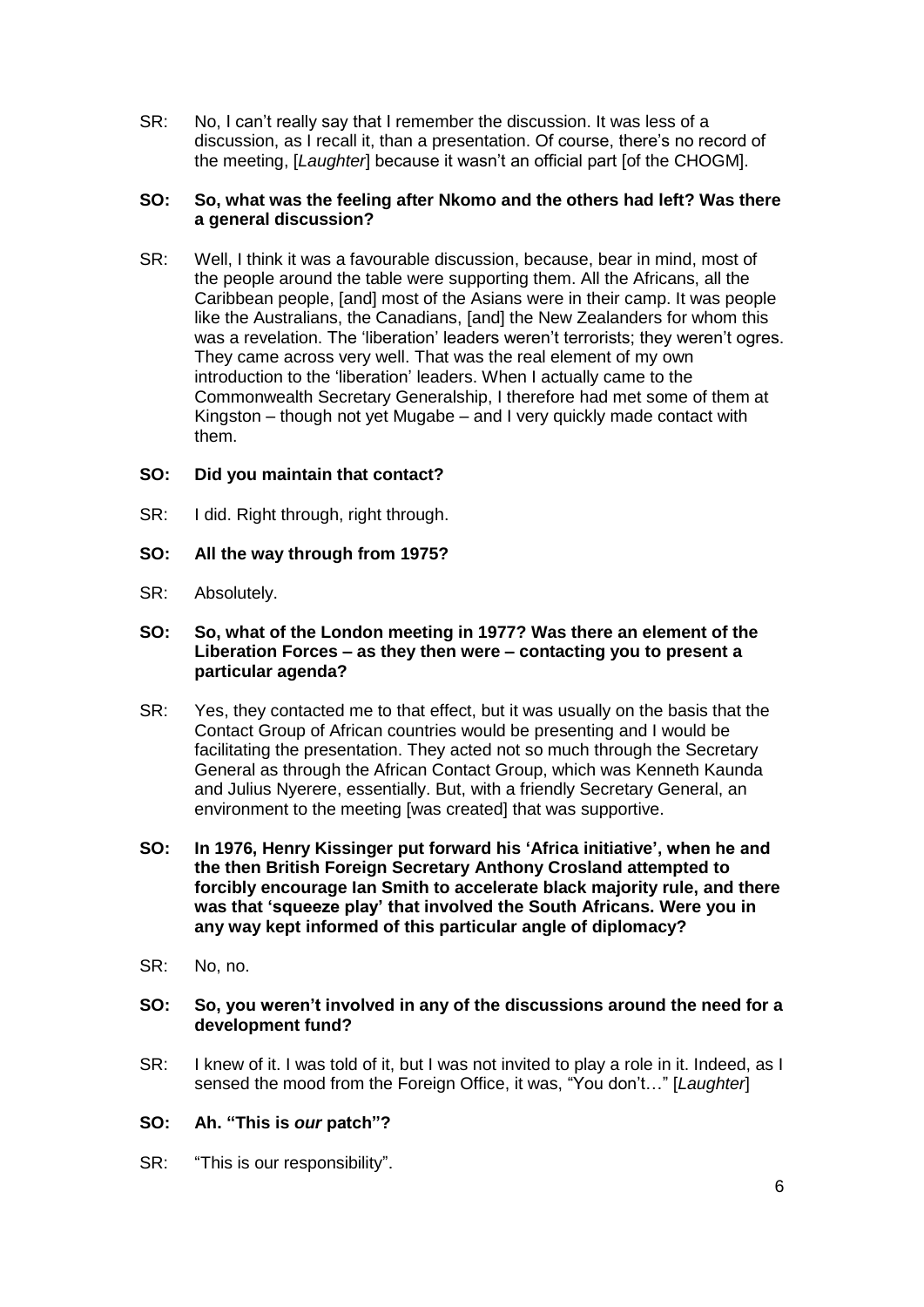SR: No, I can't really say that I remember the discussion. It was less of a discussion, as I recall it, than a presentation. Of course, there's no record of the meeting, [*Laughter*] because it wasn't an official part [of the CHOGM].

## **SO: So, what was the feeling after Nkomo and the others had left? Was there a general discussion?**

SR: Well, I think it was a favourable discussion, because, bear in mind, most of the people around the table were supporting them. All the Africans, all the Caribbean people, [and] most of the Asians were in their camp. It was people like the Australians, the Canadians, [and] the New Zealanders for whom this was a revelation. The 'liberation' leaders weren't terrorists; they weren't ogres. They came across very well. That was the real element of my own introduction to the 'liberation' leaders. When I actually came to the Commonwealth Secretary Generalship, I therefore had met some of them at Kingston – though not yet Mugabe – and I very quickly made contact with them.

# **SO: Did you maintain that contact?**

- SR: I did. Right through, right through.
- **SO: All the way through from 1975?**
- SR: Absolutely.

## **SO: So, what of the London meeting in 1977? Was there an element of the Liberation Forces – as they then were – contacting you to present a particular agenda?**

- SR: Yes, they contacted me to that effect, but it was usually on the basis that the Contact Group of African countries would be presenting and I would be facilitating the presentation. They acted not so much through the Secretary General as through the African Contact Group, which was Kenneth Kaunda and Julius Nyerere, essentially. But, with a friendly Secretary General, an environment to the meeting [was created] that was supportive.
- **SO: In 1976, Henry Kissinger put forward his 'Africa initiative', when he and the then British Foreign Secretary Anthony Crosland attempted to forcibly encourage Ian Smith to accelerate black majority rule, and there was that 'squeeze play' that involved the South Africans. Were you in any way kept informed of this particular angle of diplomacy?**
- SR: No. no.
- **SO: So, you weren't involved in any of the discussions around the need for a development fund?**
- SR: I knew of it. I was told of it, but I was not invited to play a role in it. Indeed, as I sensed the mood from the Foreign Office, it was, "You don't…" [*Laughter*]

# **SO: Ah. "This is** *our* **patch"?**

SR: "This is our responsibility".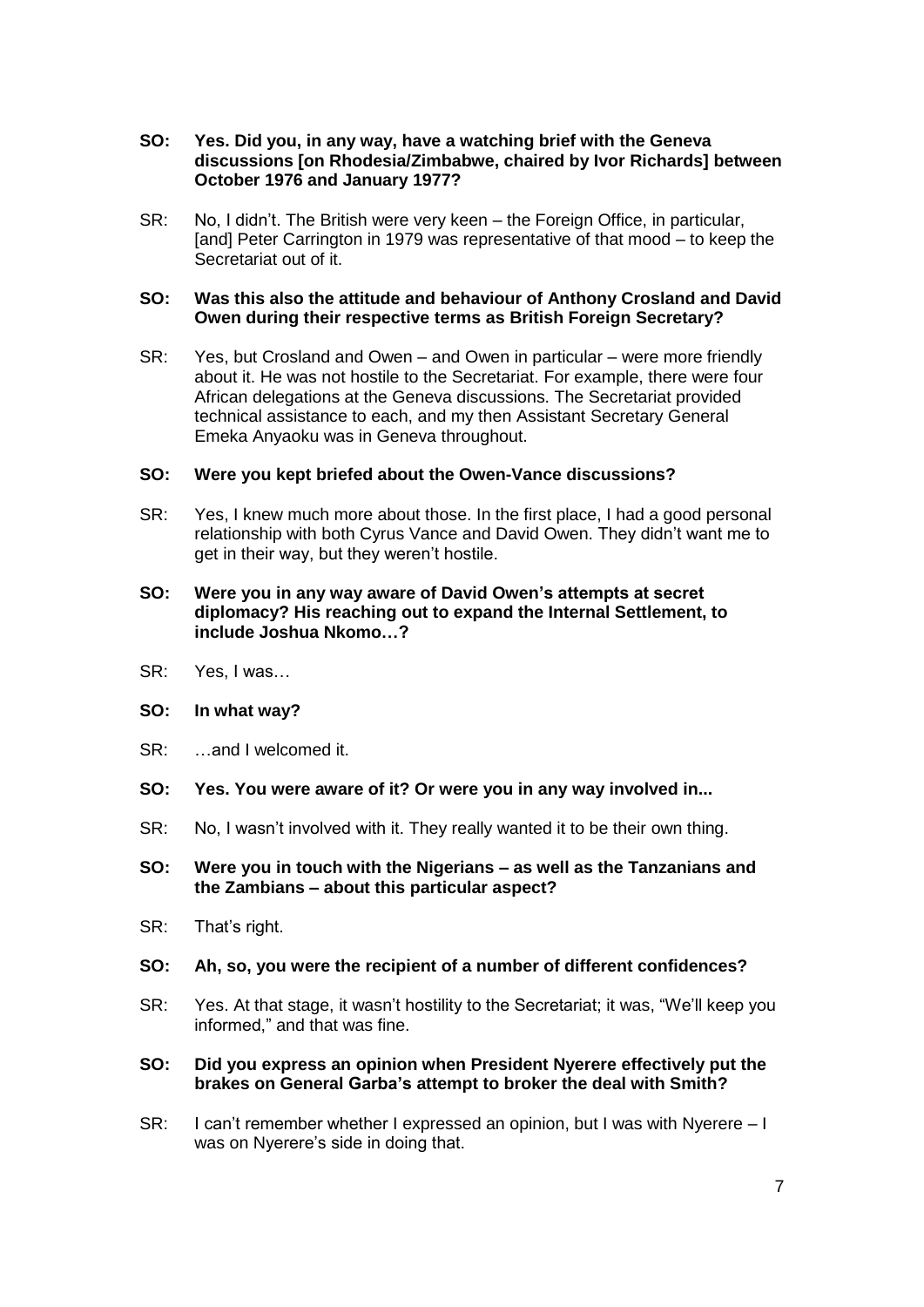- **SO: Yes. Did you, in any way, have a watching brief with the Geneva discussions [on Rhodesia/Zimbabwe, chaired by Ivor Richards] between October 1976 and January 1977?**
- SR: No, I didn't. The British were very keen the Foreign Office, in particular, [and] Peter Carrington in 1979 was representative of that mood – to keep the Secretariat out of it.

## **SO: Was this also the attitude and behaviour of Anthony Crosland and David Owen during their respective terms as British Foreign Secretary?**

SR: Yes, but Crosland and Owen – and Owen in particular – were more friendly about it. He was not hostile to the Secretariat. For example, there were four African delegations at the Geneva discussions. The Secretariat provided technical assistance to each, and my then Assistant Secretary General Emeka Anyaoku was in Geneva throughout.

## **SO: Were you kept briefed about the Owen-Vance discussions?**

SR: Yes, I knew much more about those. In the first place, I had a good personal relationship with both Cyrus Vance and David Owen. They didn't want me to get in their way, but they weren't hostile.

## **SO: Were you in any way aware of David Owen's attempts at secret diplomacy? His reaching out to expand the Internal Settlement, to include Joshua Nkomo…?**

SR: Yes, I was…

# **SO: In what way?**

- SR: …and I welcomed it.
- **SO: Yes. You were aware of it? Or were you in any way involved in...**
- SR: No, I wasn't involved with it. They really wanted it to be their own thing.
- **SO: Were you in touch with the Nigerians – as well as the Tanzanians and the Zambians – about this particular aspect?**
- SR: That's right.

#### **SO: Ah, so, you were the recipient of a number of different confidences?**

SR: Yes. At that stage, it wasn't hostility to the Secretariat; it was, "We'll keep you informed," and that was fine.

#### **SO: Did you express an opinion when President Nyerere effectively put the brakes on General Garba's attempt to broker the deal with Smith?**

SR: I can't remember whether I expressed an opinion, but I was with Nyerere – I was on Nyerere's side in doing that.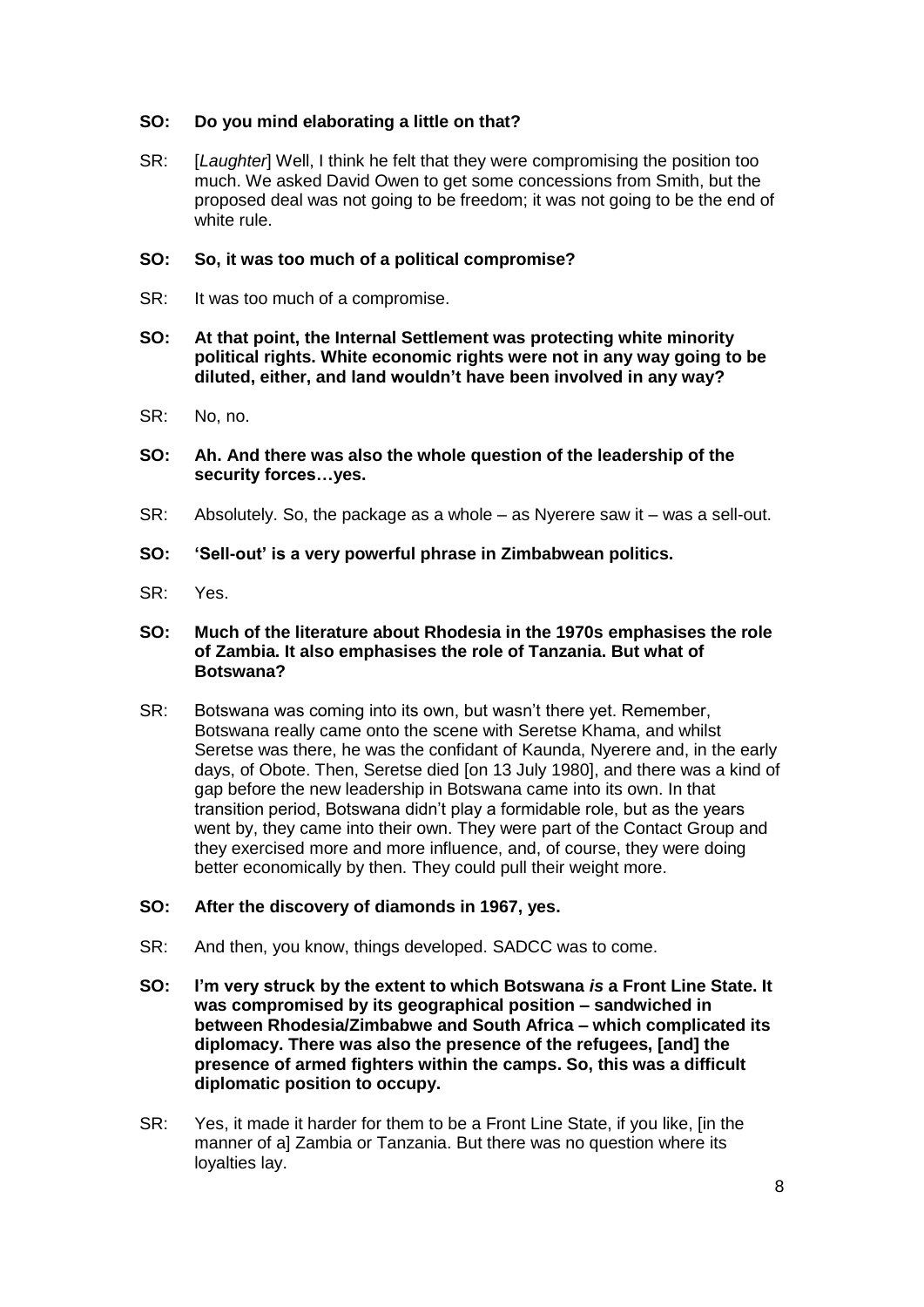# **SO: Do you mind elaborating a little on that?**

SR: [*Laughter*] Well, I think he felt that they were compromising the position too much. We asked David Owen to get some concessions from Smith, but the proposed deal was not going to be freedom; it was not going to be the end of white rule.

# **SO: So, it was too much of a political compromise?**

- SR: It was too much of a compromise.
- **SO: At that point, the Internal Settlement was protecting white minority political rights. White economic rights were not in any way going to be diluted, either, and land wouldn't have been involved in any way?**
- SR: No, no.
- **SO: Ah. And there was also the whole question of the leadership of the security forces…yes.**
- SR: Absolutely. So, the package as a whole as Nyerere saw it was a sell-out.
- **SO: 'Sell-out' is a very powerful phrase in Zimbabwean politics.**
- SR: Yes.

## **SO: Much of the literature about Rhodesia in the 1970s emphasises the role of Zambia. It also emphasises the role of Tanzania. But what of Botswana?**

SR: Botswana was coming into its own, but wasn't there yet. Remember, Botswana really came onto the scene with Seretse Khama, and whilst Seretse was there, he was the confidant of Kaunda, Nyerere and, in the early days, of Obote. Then, Seretse died [on 13 July 1980], and there was a kind of gap before the new leadership in Botswana came into its own. In that transition period, Botswana didn't play a formidable role, but as the years went by, they came into their own. They were part of the Contact Group and they exercised more and more influence, and, of course, they were doing better economically by then. They could pull their weight more.

# **SO: After the discovery of diamonds in 1967, yes.**

- SR: And then, you know, things developed. SADCC was to come.
- **SO: I'm very struck by the extent to which Botswana** *is* **a Front Line State. It was compromised by its geographical position – sandwiched in between Rhodesia/Zimbabwe and South Africa – which complicated its diplomacy. There was also the presence of the refugees, [and] the presence of armed fighters within the camps. So, this was a difficult diplomatic position to occupy.**
- SR: Yes, it made it harder for them to be a Front Line State, if you like, [in the manner of a] Zambia or Tanzania. But there was no question where its loyalties lay.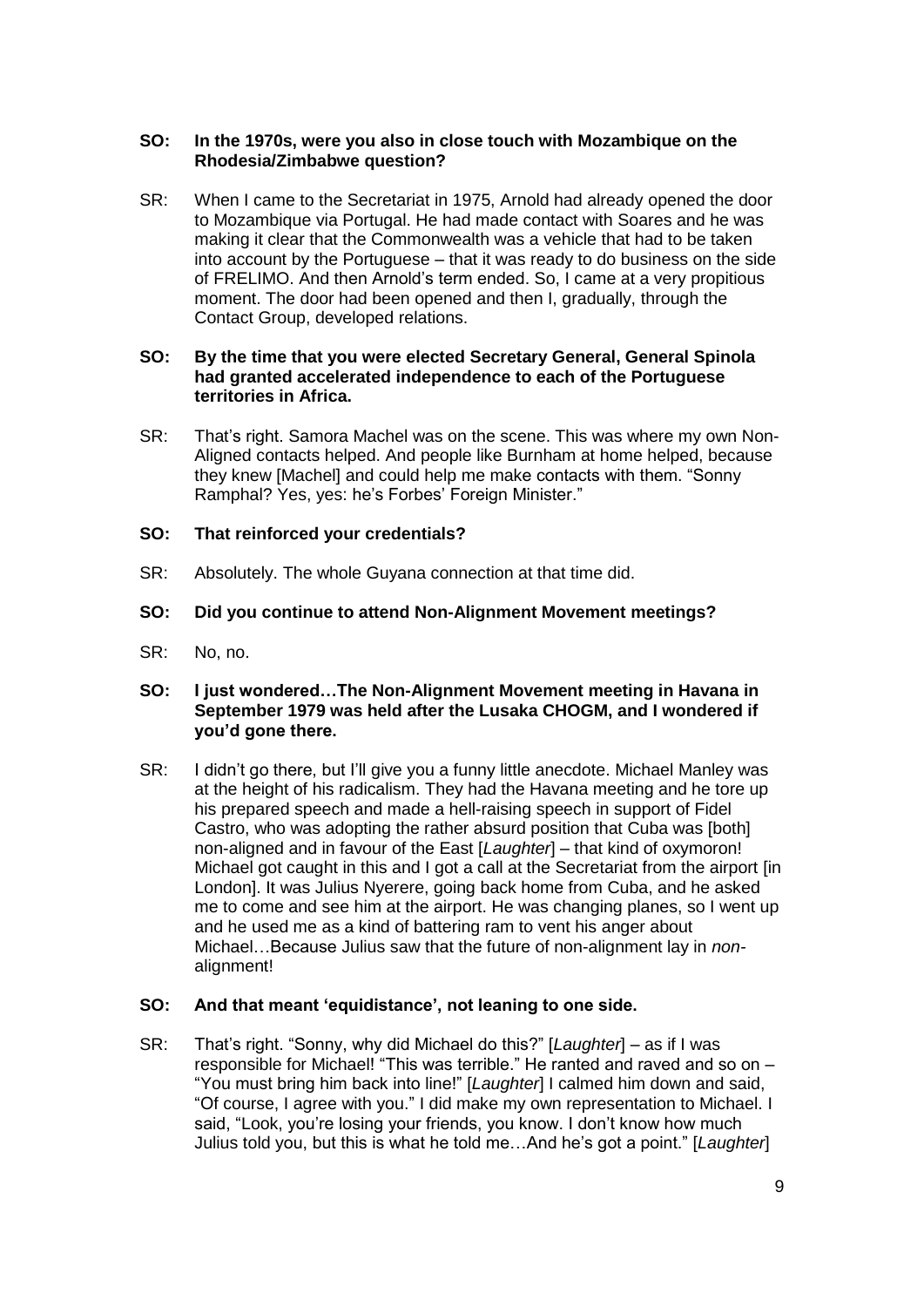# **SO: In the 1970s, were you also in close touch with Mozambique on the Rhodesia/Zimbabwe question?**

SR: When I came to the Secretariat in 1975, Arnold had already opened the door to Mozambique via Portugal. He had made contact with Soares and he was making it clear that the Commonwealth was a vehicle that had to be taken into account by the Portuguese – that it was ready to do business on the side of FRELIMO. And then Arnold's term ended. So, I came at a very propitious moment. The door had been opened and then I, gradually, through the Contact Group, developed relations.

## **SO: By the time that you were elected Secretary General, General Spinola had granted accelerated independence to each of the Portuguese territories in Africa.**

SR: That's right. Samora Machel was on the scene. This was where my own Non-Aligned contacts helped. And people like Burnham at home helped, because they knew [Machel] and could help me make contacts with them. "Sonny Ramphal? Yes, yes: he's Forbes' Foreign Minister."

## **SO: That reinforced your credentials?**

SR: Absolutely. The whole Guyana connection at that time did.

## **SO: Did you continue to attend Non-Alignment Movement meetings?**

SR: No, no.

## **SO: I just wondered…The Non-Alignment Movement meeting in Havana in September 1979 was held after the Lusaka CHOGM, and I wondered if you'd gone there.**

SR: I didn't go there, but I'll give you a funny little anecdote. Michael Manley was at the height of his radicalism. They had the Havana meeting and he tore up his prepared speech and made a hell-raising speech in support of Fidel Castro, who was adopting the rather absurd position that Cuba was [both] non-aligned and in favour of the East [*Laughter*] – that kind of oxymoron! Michael got caught in this and I got a call at the Secretariat from the airport [in London]. It was Julius Nyerere, going back home from Cuba, and he asked me to come and see him at the airport. He was changing planes, so I went up and he used me as a kind of battering ram to vent his anger about Michael…Because Julius saw that the future of non-alignment lay in *non*alignment!

#### **SO: And that meant 'equidistance', not leaning to one side.**

SR: That's right. "Sonny, why did Michael do this?" [*Laughter*] – as if I was responsible for Michael! "This was terrible." He ranted and raved and so on – "You must bring him back into line!" [*Laughter*] I calmed him down and said, "Of course, I agree with you." I did make my own representation to Michael. I said, "Look, you're losing your friends, you know. I don't know how much Julius told you, but this is what he told me…And he's got a point." [*Laughter*]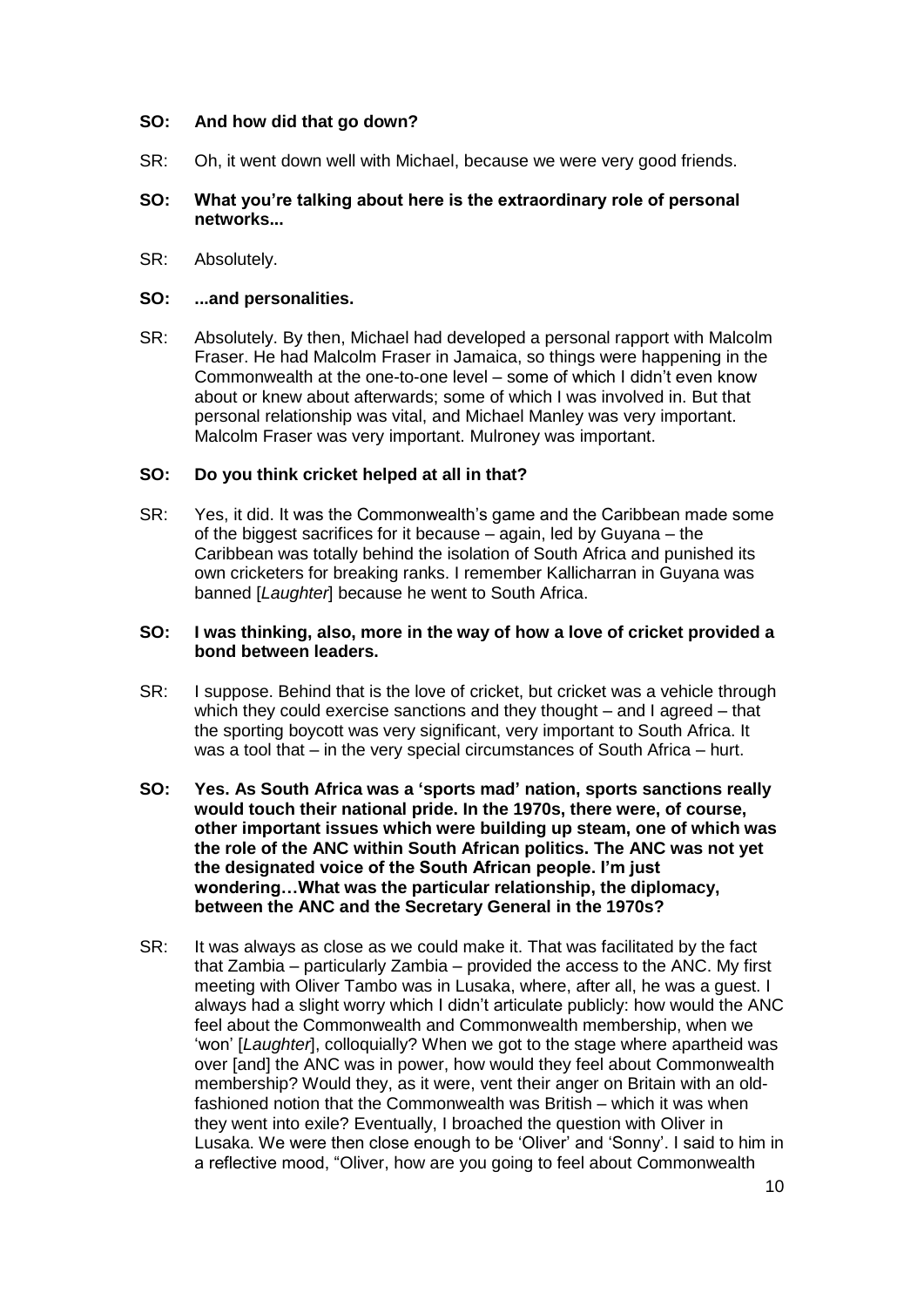# **SO: And how did that go down?**

SR: Oh, it went down well with Michael, because we were very good friends.

## **SO: What you're talking about here is the extraordinary role of personal networks...**

SR: Absolutely.

## **SO: ...and personalities.**

SR: Absolutely. By then, Michael had developed a personal rapport with Malcolm Fraser. He had Malcolm Fraser in Jamaica, so things were happening in the Commonwealth at the one-to-one level – some of which I didn't even know about or knew about afterwards; some of which I was involved in. But that personal relationship was vital, and Michael Manley was very important. Malcolm Fraser was very important. Mulroney was important.

## **SO: Do you think cricket helped at all in that?**

SR: Yes, it did. It was the Commonwealth's game and the Caribbean made some of the biggest sacrifices for it because – again, led by Guyana – the Caribbean was totally behind the isolation of South Africa and punished its own cricketers for breaking ranks. I remember Kallicharran in Guyana was banned [*Laughter*] because he went to South Africa.

## **SO: I was thinking, also, more in the way of how a love of cricket provided a bond between leaders.**

- SR: I suppose. Behind that is the love of cricket, but cricket was a vehicle through which they could exercise sanctions and they thought – and I agreed – that the sporting boycott was very significant, very important to South Africa. It was a tool that – in the very special circumstances of South Africa – hurt.
- **SO: Yes. As South Africa was a 'sports mad' nation, sports sanctions really would touch their national pride. In the 1970s, there were, of course, other important issues which were building up steam, one of which was the role of the ANC within South African politics. The ANC was not yet the designated voice of the South African people. I'm just wondering…What was the particular relationship, the diplomacy, between the ANC and the Secretary General in the 1970s?**
- SR: It was always as close as we could make it. That was facilitated by the fact that Zambia – particularly Zambia – provided the access to the ANC. My first meeting with Oliver Tambo was in Lusaka, where, after all, he was a guest. I always had a slight worry which I didn't articulate publicly: how would the ANC feel about the Commonwealth and Commonwealth membership, when we 'won' [*Laughter*], colloquially? When we got to the stage where apartheid was over [and] the ANC was in power, how would they feel about Commonwealth membership? Would they, as it were, vent their anger on Britain with an oldfashioned notion that the Commonwealth was British – which it was when they went into exile? Eventually, I broached the question with Oliver in Lusaka. We were then close enough to be 'Oliver' and 'Sonny'. I said to him in a reflective mood, "Oliver, how are you going to feel about Commonwealth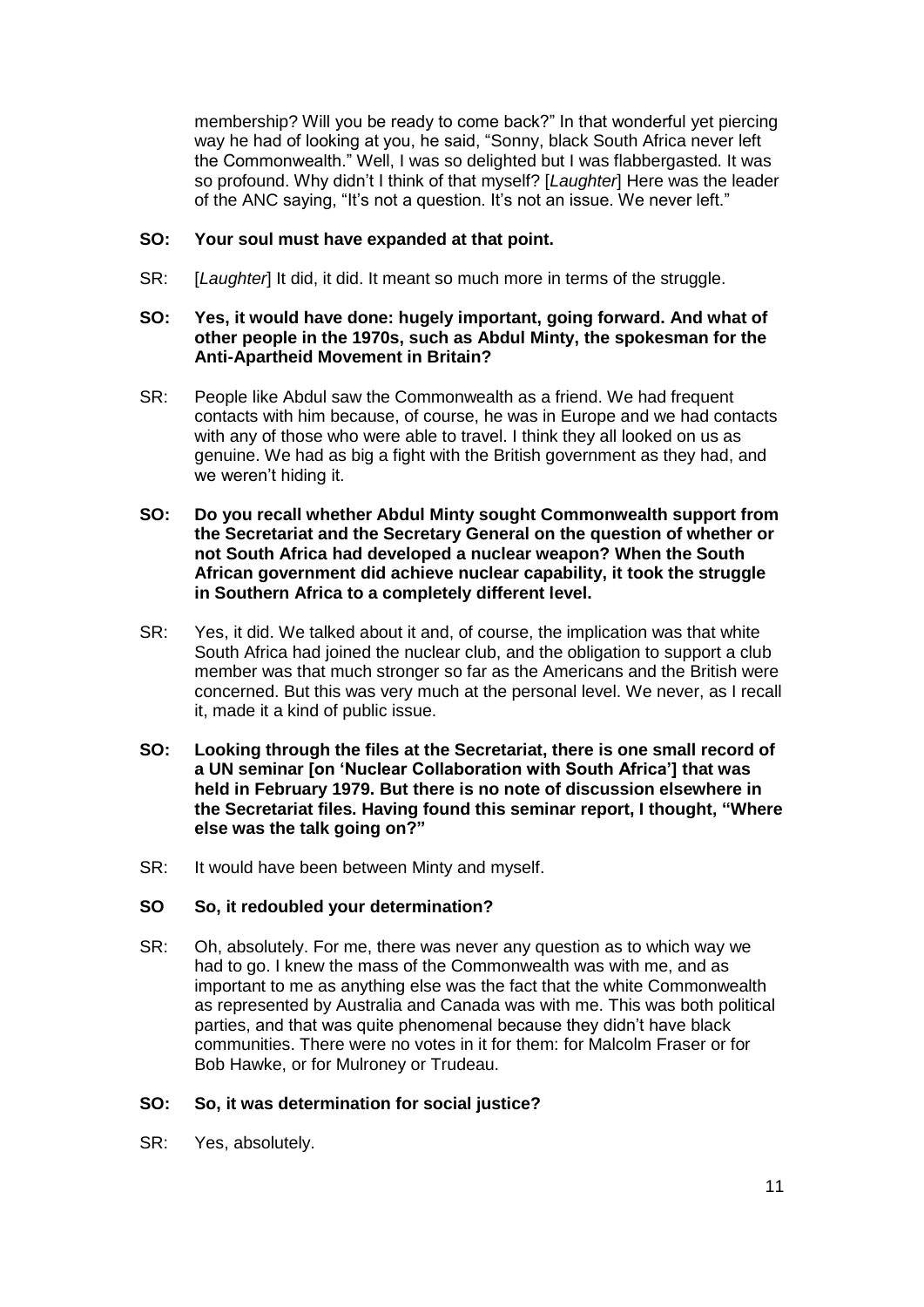membership? Will you be ready to come back?" In that wonderful yet piercing way he had of looking at you, he said, "Sonny, black South Africa never left the Commonwealth." Well, I was so delighted but I was flabbergasted. It was so profound. Why didn't I think of that myself? [*Laughter*] Here was the leader of the ANC saying, "It's not a question. It's not an issue. We never left."

## **SO: Your soul must have expanded at that point.**

SR: [*Laughter*] It did, it did. It meant so much more in terms of the struggle.

## **SO: Yes, it would have done: hugely important, going forward. And what of other people in the 1970s, such as Abdul Minty, the spokesman for the Anti-Apartheid Movement in Britain?**

- SR: People like Abdul saw the Commonwealth as a friend. We had frequent contacts with him because, of course, he was in Europe and we had contacts with any of those who were able to travel. I think they all looked on us as genuine. We had as big a fight with the British government as they had, and we weren't hiding it.
- **SO: Do you recall whether Abdul Minty sought Commonwealth support from the Secretariat and the Secretary General on the question of whether or not South Africa had developed a nuclear weapon? When the South African government did achieve nuclear capability, it took the struggle in Southern Africa to a completely different level.**
- SR: Yes, it did. We talked about it and, of course, the implication was that white South Africa had joined the nuclear club, and the obligation to support a club member was that much stronger so far as the Americans and the British were concerned. But this was very much at the personal level. We never, as I recall it, made it a kind of public issue.
- **SO: Looking through the files at the Secretariat, there is one small record of a UN seminar [on 'Nuclear Collaboration with South Africa'] that was held in February 1979. But there is no note of discussion elsewhere in the Secretariat files. Having found this seminar report, I thought, "Where else was the talk going on?"**
- SR: It would have been between Minty and myself.

# **SO So, it redoubled your determination?**

SR: Oh, absolutely. For me, there was never any question as to which way we had to go. I knew the mass of the Commonwealth was with me, and as important to me as anything else was the fact that the white Commonwealth as represented by Australia and Canada was with me. This was both political parties, and that was quite phenomenal because they didn't have black communities. There were no votes in it for them: for Malcolm Fraser or for Bob Hawke, or for Mulroney or Trudeau.

# **SO: So, it was determination for social justice?**

SR: Yes, absolutely.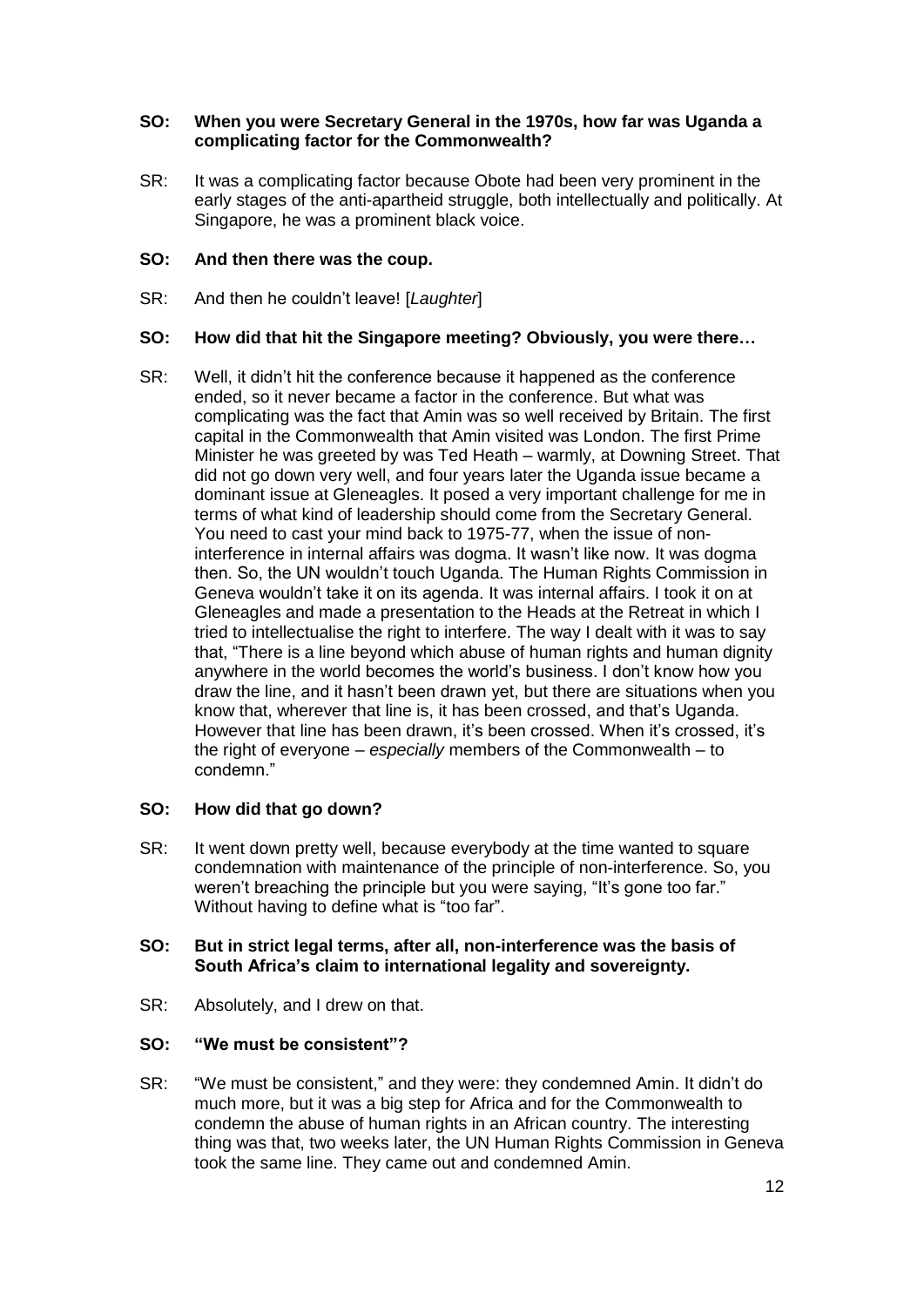## **SO: When you were Secretary General in the 1970s, how far was Uganda a complicating factor for the Commonwealth?**

SR: It was a complicating factor because Obote had been very prominent in the early stages of the anti-apartheid struggle, both intellectually and politically. At Singapore, he was a prominent black voice.

# **SO: And then there was the coup.**

SR: And then he couldn't leave! [*Laughter*]

## **SO: How did that hit the Singapore meeting? Obviously, you were there…**

SR: Well, it didn't hit the conference because it happened as the conference ended, so it never became a factor in the conference. But what was complicating was the fact that Amin was so well received by Britain. The first capital in the Commonwealth that Amin visited was London. The first Prime Minister he was greeted by was Ted Heath – warmly, at Downing Street. That did not go down very well, and four years later the Uganda issue became a dominant issue at Gleneagles. It posed a very important challenge for me in terms of what kind of leadership should come from the Secretary General. You need to cast your mind back to 1975-77, when the issue of noninterference in internal affairs was dogma. It wasn't like now. It was dogma then. So, the UN wouldn't touch Uganda. The Human Rights Commission in Geneva wouldn't take it on its agenda. It was internal affairs. I took it on at Gleneagles and made a presentation to the Heads at the Retreat in which I tried to intellectualise the right to interfere. The way I dealt with it was to say that, "There is a line beyond which abuse of human rights and human dignity anywhere in the world becomes the world's business. I don't know how you draw the line, and it hasn't been drawn yet, but there are situations when you know that, wherever that line is, it has been crossed, and that's Uganda. However that line has been drawn, it's been crossed. When it's crossed, it's the right of everyone – *especially* members of the Commonwealth – to condemn."

# **SO: How did that go down?**

SR: It went down pretty well, because everybody at the time wanted to square condemnation with maintenance of the principle of non-interference. So, you weren't breaching the principle but you were saying, "It's gone too far." Without having to define what is "too far".

## **SO: But in strict legal terms, after all, non-interference was the basis of South Africa's claim to international legality and sovereignty.**

SR: Absolutely, and I drew on that.

# **SO: "We must be consistent"?**

SR: "We must be consistent," and they were: they condemned Amin. It didn't do much more, but it was a big step for Africa and for the Commonwealth to condemn the abuse of human rights in an African country. The interesting thing was that, two weeks later, the UN Human Rights Commission in Geneva took the same line. They came out and condemned Amin.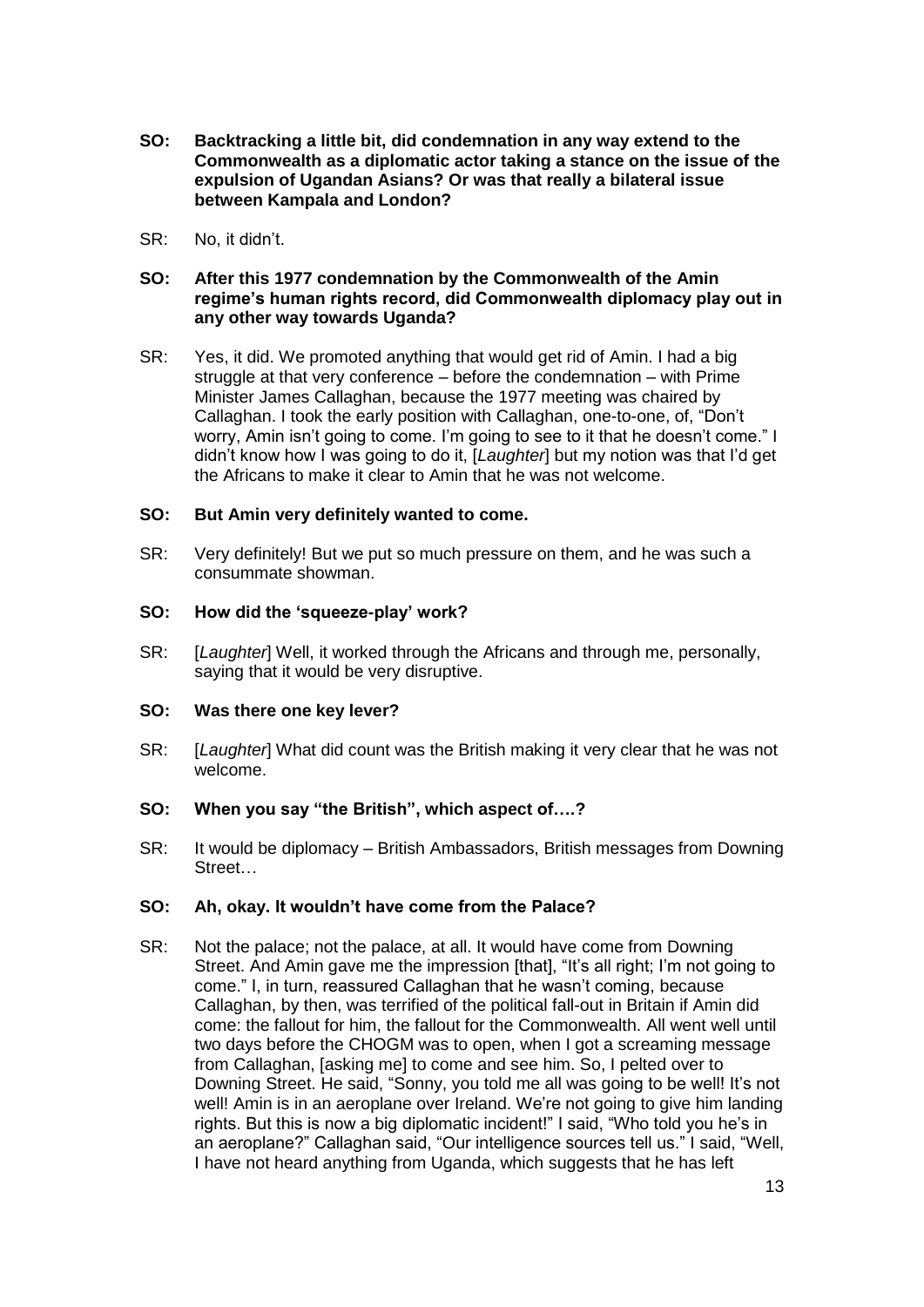- **SO: Backtracking a little bit, did condemnation in any way extend to the Commonwealth as a diplomatic actor taking a stance on the issue of the expulsion of Ugandan Asians? Or was that really a bilateral issue between Kampala and London?**
- SR: No, it didn't.

# **SO: After this 1977 condemnation by the Commonwealth of the Amin regime's human rights record, did Commonwealth diplomacy play out in any other way towards Uganda?**

SR: Yes, it did. We promoted anything that would get rid of Amin. I had a big struggle at that very conference – before the condemnation – with Prime Minister James Callaghan, because the 1977 meeting was chaired by Callaghan. I took the early position with Callaghan, one-to-one, of, "Don't worry, Amin isn't going to come. I'm going to see to it that he doesn't come." I didn't know how I was going to do it, [*Laughter*] but my notion was that I'd get the Africans to make it clear to Amin that he was not welcome.

# **SO: But Amin very definitely wanted to come.**

SR: Very definitely! But we put so much pressure on them, and he was such a consummate showman.

#### **SO: How did the 'squeeze-play' work?**

SR: [*Laughter*] Well, it worked through the Africans and through me, personally, saying that it would be very disruptive.

#### **SO: Was there one key lever?**

SR: [*Laughter*] What did count was the British making it very clear that he was not welcome.

# **SO: When you say "the British", which aspect of….?**

SR: It would be diplomacy – British Ambassadors, British messages from Downing **Street** 

# **SO: Ah, okay. It wouldn't have come from the Palace?**

SR: Not the palace; not the palace, at all. It would have come from Downing Street. And Amin gave me the impression [that], "It's all right; I'm not going to come." I, in turn, reassured Callaghan that he wasn't coming, because Callaghan, by then, was terrified of the political fall-out in Britain if Amin did come: the fallout for him, the fallout for the Commonwealth. All went well until two days before the CHOGM was to open, when I got a screaming message from Callaghan, [asking me] to come and see him. So, I pelted over to Downing Street. He said, "Sonny, you told me all was going to be well! It's not well! Amin is in an aeroplane over Ireland. We're not going to give him landing rights. But this is now a big diplomatic incident!" I said, "Who told you he's in an aeroplane?" Callaghan said, "Our intelligence sources tell us." I said, "Well, I have not heard anything from Uganda, which suggests that he has left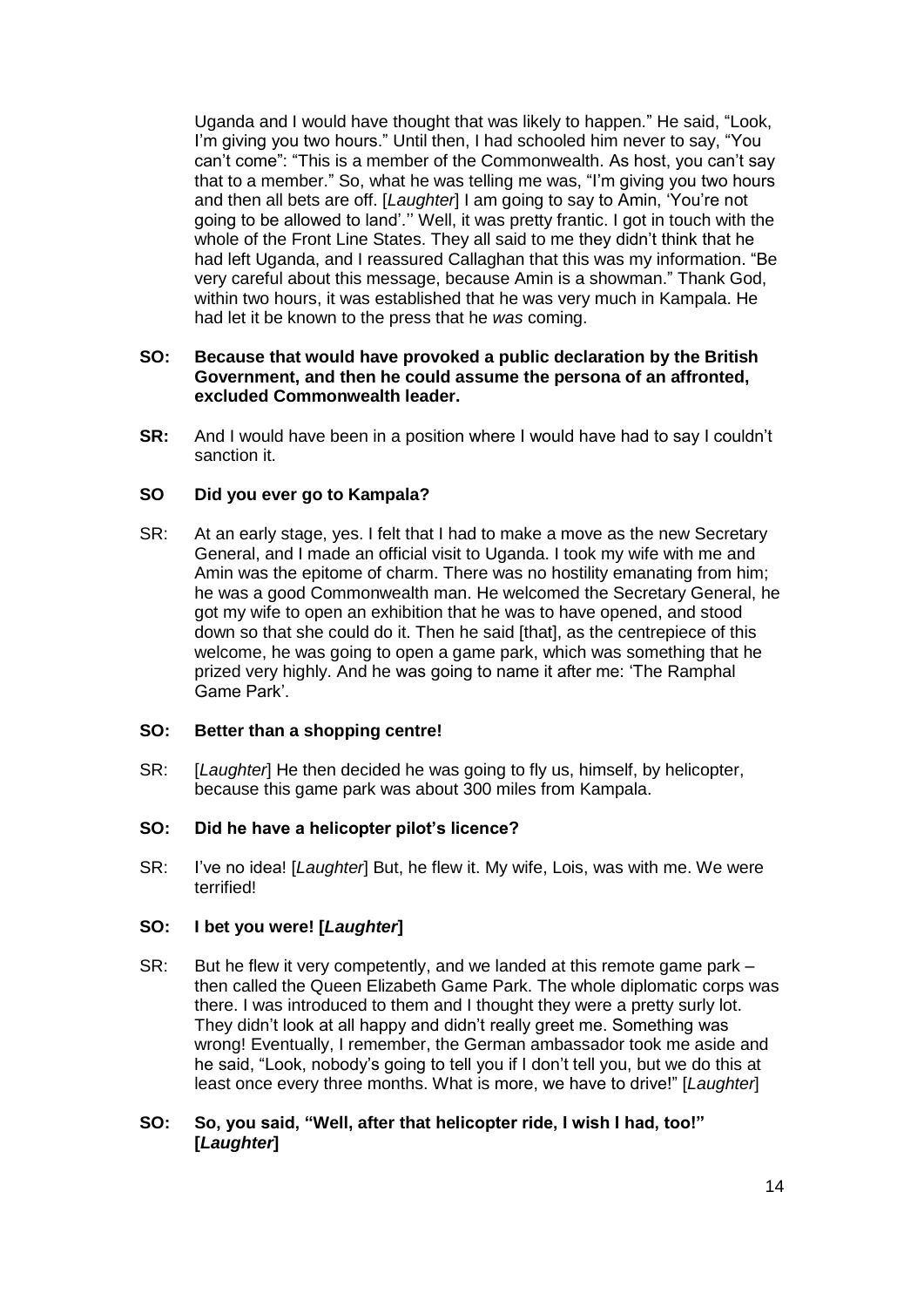Uganda and I would have thought that was likely to happen." He said, "Look, I'm giving you two hours." Until then, I had schooled him never to say, "You can't come": "This is a member of the Commonwealth. As host, you can't say that to a member." So, what he was telling me was, "I'm giving you two hours and then all bets are off. [*Laughter*] I am going to say to Amin, 'You're not going to be allowed to land'.'' Well, it was pretty frantic. I got in touch with the whole of the Front Line States. They all said to me they didn't think that he had left Uganda, and I reassured Callaghan that this was my information. "Be very careful about this message, because Amin is a showman." Thank God, within two hours, it was established that he was very much in Kampala. He had let it be known to the press that he *was* coming.

## **SO: Because that would have provoked a public declaration by the British Government, and then he could assume the persona of an affronted, excluded Commonwealth leader.**

**SR:** And I would have been in a position where I would have had to say I couldn't sanction it.

## **SO Did you ever go to Kampala?**

SR: At an early stage, yes. I felt that I had to make a move as the new Secretary General, and I made an official visit to Uganda. I took my wife with me and Amin was the epitome of charm. There was no hostility emanating from him; he was a good Commonwealth man. He welcomed the Secretary General, he got my wife to open an exhibition that he was to have opened, and stood down so that she could do it. Then he said [that], as the centrepiece of this welcome, he was going to open a game park, which was something that he prized very highly. And he was going to name it after me: 'The Ramphal Game Park'.

#### **SO: Better than a shopping centre!**

SR: [*Laughter*] He then decided he was going to fly us, himself, by helicopter, because this game park was about 300 miles from Kampala.

#### **SO: Did he have a helicopter pilot's licence?**

SR: I've no idea! [*Laughter*] But, he flew it. My wife, Lois, was with me. We were terrified!

# **SO: I bet you were! [***Laughter***]**

- SR: But he flew it very competently, and we landed at this remote game park then called the Queen Elizabeth Game Park. The whole diplomatic corps was there. I was introduced to them and I thought they were a pretty surly lot. They didn't look at all happy and didn't really greet me. Something was wrong! Eventually, I remember, the German ambassador took me aside and he said, "Look, nobody's going to tell you if I don't tell you, but we do this at least once every three months. What is more, we have to drive!" [*Laughter*]
- **SO: So, you said, "Well, after that helicopter ride, I wish I had, too!" [***Laughter***]**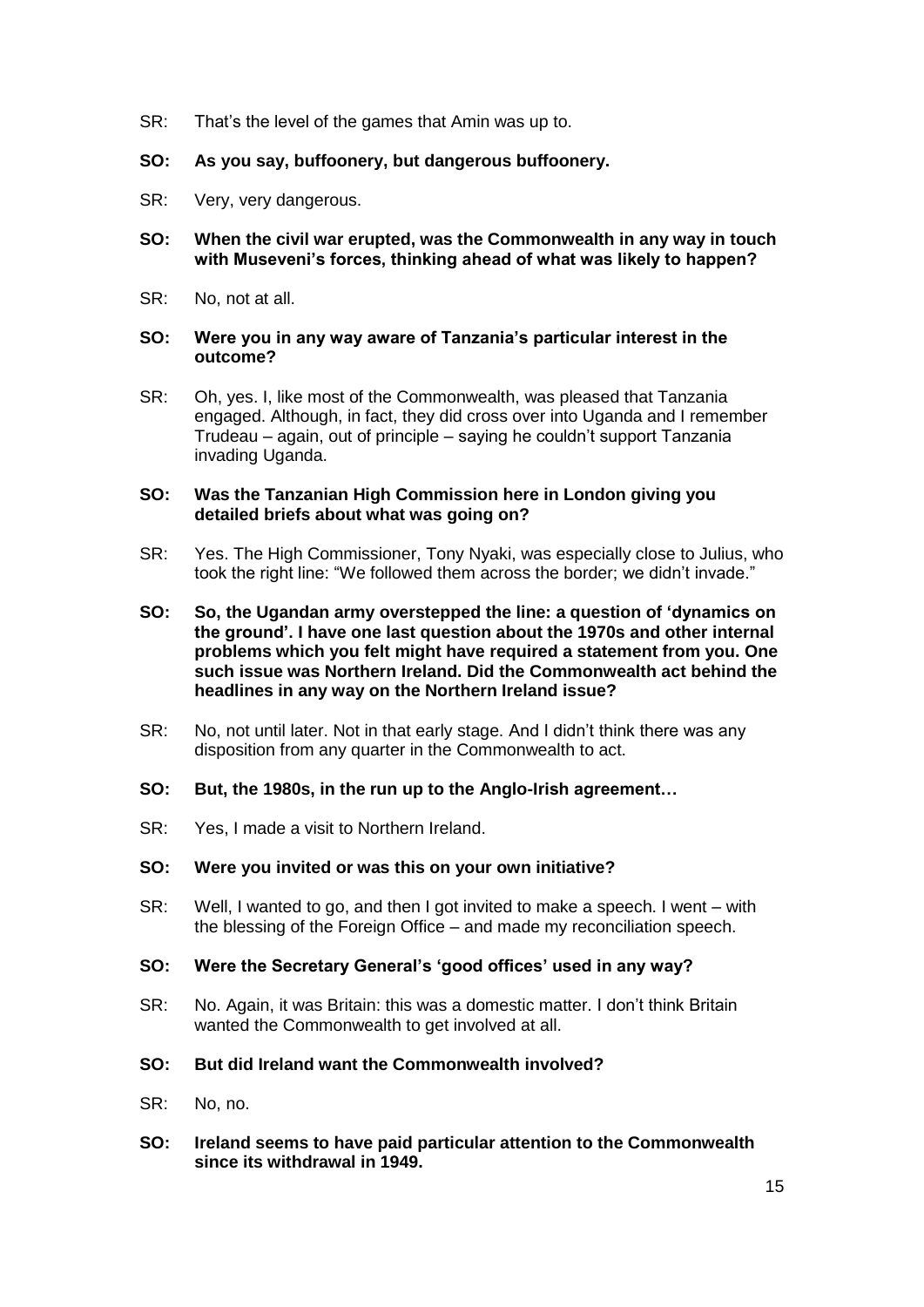SR: That's the level of the games that Amin was up to.

## **SO: As you say, buffoonery, but dangerous buffoonery.**

- SR: Very, very dangerous.
- **SO: When the civil war erupted, was the Commonwealth in any way in touch with Museveni's forces, thinking ahead of what was likely to happen?**
- SR: No, not at all.

### **SO: Were you in any way aware of Tanzania's particular interest in the outcome?**

SR: Oh, yes. I, like most of the Commonwealth, was pleased that Tanzania engaged. Although, in fact, they did cross over into Uganda and I remember Trudeau – again, out of principle – saying he couldn't support Tanzania invading Uganda.

## **SO: Was the Tanzanian High Commission here in London giving you detailed briefs about what was going on?**

- SR: Yes. The High Commissioner, Tony Nyaki, was especially close to Julius, who took the right line: "We followed them across the border; we didn't invade."
- **SO: So, the Ugandan army overstepped the line: a question of 'dynamics on the ground'. I have one last question about the 1970s and other internal problems which you felt might have required a statement from you. One such issue was Northern Ireland. Did the Commonwealth act behind the headlines in any way on the Northern Ireland issue?**
- SR: No, not until later. Not in that early stage. And I didn't think there was any disposition from any quarter in the Commonwealth to act.
- **SO: But, the 1980s, in the run up to the Anglo-Irish agreement…**
- SR: Yes, I made a visit to Northern Ireland.

#### **SO: Were you invited or was this on your own initiative?**

SR: Well, I wanted to go, and then I got invited to make a speech. I went – with the blessing of the Foreign Office – and made my reconciliation speech.

# **SO: Were the Secretary General's 'good offices' used in any way?**

- SR: No. Again, it was Britain: this was a domestic matter. I don't think Britain wanted the Commonwealth to get involved at all.
- **SO: But did Ireland want the Commonwealth involved?**
- SR: No, no.
- **SO: Ireland seems to have paid particular attention to the Commonwealth since its withdrawal in 1949.**